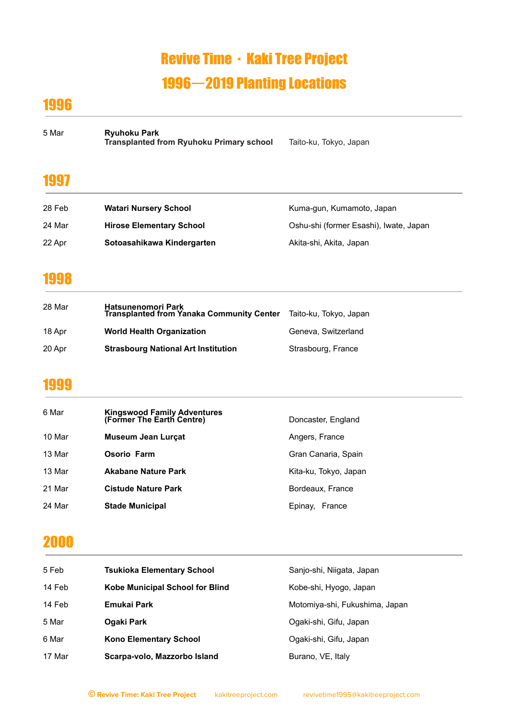# Revive Time・Kaki Tree Project 1996-2019 Planting Locations

## 

 Mar **Ryuhoku Park Transplanted from Ryuhoku Primary school** Taito-ku, Tokyo, Japan

### 

| 28 Feb | <b>Watari Nursery School</b>    | Kuma-gun, Kumamoto, Japan              |
|--------|---------------------------------|----------------------------------------|
| 24 Mar | <b>Hirose Elementary School</b> | Oshu-shi (former Esashi), Iwate, Japan |
| 22 Apr | Sotoasahikawa Kindergarten      | Akita-shi, Akita, Japan                |

# 

| 28 Mar | <b>Hatsunenomori Park</b><br><b>Transplanted from Yanaka Community Center</b> | Taito-ku, Tokyo, Japan |
|--------|-------------------------------------------------------------------------------|------------------------|
| 18 Apr | <b>World Health Organization</b>                                              | Geneva, Switzerland    |
| 20 Apr | <b>Strasbourg National Art Institution</b>                                    | Strasbourg, France     |

# 

| 6 Mar  | Kingswood Family Adventures<br>(Former The Earth Centre) | Doncaster, England    |
|--------|----------------------------------------------------------|-----------------------|
| 10 Mar | <b>Museum Jean Lurcat</b>                                | Angers, France        |
| 13 Mar | Osorio Farm                                              | Gran Canaria, Spain   |
| 13 Mar | <b>Akabane Nature Park</b>                               | Kita-ku, Tokyo, Japan |
| 21 Mar | Cistude Nature Park                                      | Bordeaux, France      |
| 24 Mar | <b>Stade Municipal</b>                                   | France<br>Epinay,     |

| 5 Feb  | <b>Tsukioka Elementary School</b> | Sanjo-shi, Niigata, Japan      |
|--------|-----------------------------------|--------------------------------|
| 14 Feb | Kobe Municipal School for Blind   | Kobe-shi, Hyogo, Japan         |
| 14 Feb | Emukai Park                       | Motomiya-shi, Fukushima, Japan |
| 5 Mar  | Ogaki Park                        | Ogaki-shi, Gifu, Japan         |
| 6 Mar  | <b>Kono Elementary School</b>     | Ogaki-shi, Gifu, Japan         |
| 17 Mar | Scarpa-volo, Mazzorbo Island      | Burano, VE, Italy              |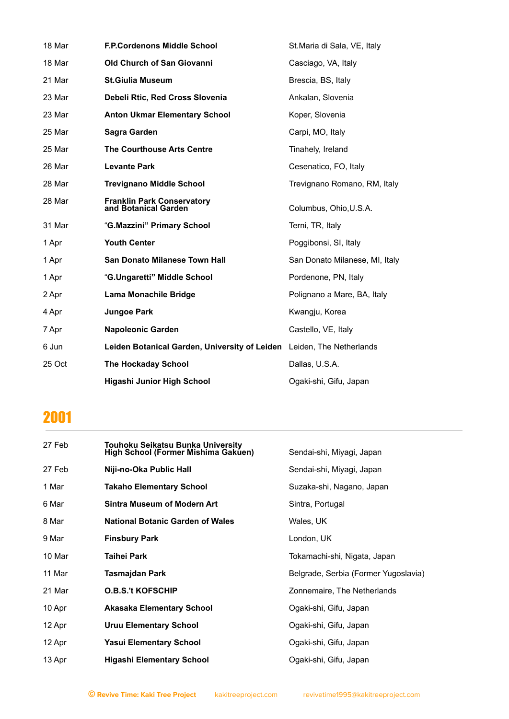| 18 Mar | <b>F.P.Cordenons Middle School</b>                                    | St.Maria di Sala, VE, Italy    |
|--------|-----------------------------------------------------------------------|--------------------------------|
| 18 Mar | <b>Old Church of San Giovanni</b>                                     | Casciago, VA, Italy            |
| 21 Mar | <b>St.Giulia Museum</b>                                               | Brescia, BS, Italy             |
| 23 Mar | Debeli Rtic, Red Cross Slovenia                                       | Ankalan, Slovenia              |
| 23 Mar | <b>Anton Ukmar Elementary School</b>                                  | Koper, Slovenia                |
| 25 Mar | <b>Sagra Garden</b>                                                   | Carpi, MO, Italy               |
| 25 Mar | <b>The Courthouse Arts Centre</b>                                     | Tinahely, Ireland              |
| 26 Mar | <b>Levante Park</b>                                                   | Cesenatico, FO, Italy          |
| 28 Mar | <b>Trevignano Middle School</b>                                       | Trevignano Romano, RM, Italy   |
| 28 Mar | <b>Franklin Park Conservatory</b><br>and Botanical Garden             | Columbus, Ohio, U.S.A.         |
| 31 Mar | "G.Mazzini" Primary School                                            | Terni, TR, Italy               |
| 1 Apr  | <b>Youth Center</b>                                                   | Poggibonsi, SI, Italy          |
| 1 Apr  | San Donato Milanese Town Hall                                         | San Donato Milanese, MI, Italy |
| 1 Apr  | "G.Ungaretti" Middle School                                           | Pordenone, PN, Italy           |
| 2 Apr  | <b>Lama Monachile Bridge</b>                                          | Polignano a Mare, BA, Italy    |
| 4 Apr  | <b>Jungoe Park</b>                                                    | Kwangju, Korea                 |
| 7 Apr  | <b>Napoleonic Garden</b>                                              | Castello, VE, Italy            |
| 6 Jun  | Leiden Botanical Garden, University of Leiden Leiden, The Netherlands |                                |
| 25 Oct | <b>The Hockaday School</b>                                            | Dallas, U.S.A.                 |
|        | Higashi Junior High School                                            | Ogaki-shi, Gifu, Japan         |

| 27 Feb | Touhoku Seikatsu Bunka University<br>High School (Former Mishima Gakuen) | Sendai-shi, Miyagi, Japan            |
|--------|--------------------------------------------------------------------------|--------------------------------------|
| 27 Feb | Niji-no-Oka Public Hall                                                  | Sendai-shi, Miyagi, Japan            |
| 1 Mar  | <b>Takaho Elementary School</b>                                          | Suzaka-shi, Nagano, Japan            |
| 6 Mar  | Sintra Museum of Modern Art                                              | Sintra, Portugal                     |
| 8 Mar  | <b>National Botanic Garden of Wales</b>                                  | Wales, UK                            |
| 9 Mar  | <b>Finsbury Park</b>                                                     | London, UK                           |
| 10 Mar | Taihei Park                                                              | Tokamachi-shi, Nigata, Japan         |
| 11 Mar | Tasmajdan Park                                                           | Belgrade, Serbia (Former Yugoslavia) |
| 21 Mar | <b>O.B.S.'t KOFSCHIP</b>                                                 | Zonnemaire, The Netherlands          |
| 10 Apr | <b>Akasaka Elementary School</b>                                         | Ogaki-shi, Gifu, Japan               |
| 12 Apr | <b>Uruu Elementary School</b>                                            | Ogaki-shi, Gifu, Japan               |
| 12 Apr | <b>Yasui Elementary School</b>                                           | Ogaki-shi, Gifu, Japan               |
| 13 Apr | <b>Higashi Elementary School</b>                                         | Ogaki-shi, Gifu, Japan               |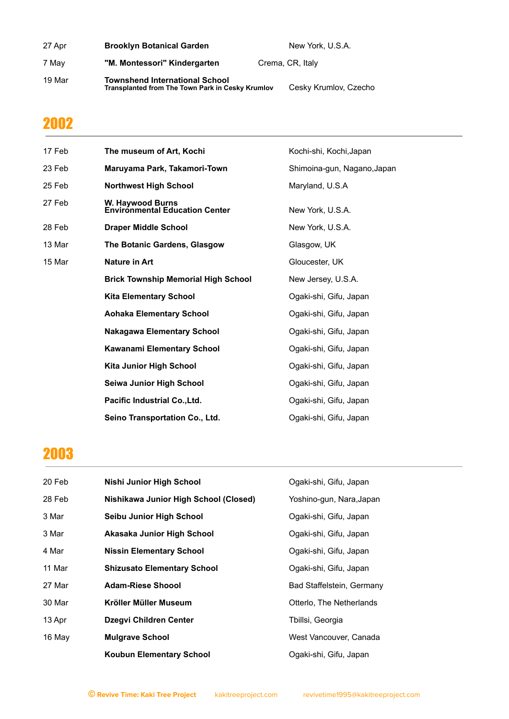| 27 Apr | <b>Brooklyn Botanical Garden</b>                                                                 | New York, U.S.A.      |  |
|--------|--------------------------------------------------------------------------------------------------|-----------------------|--|
| 7 May  | "M. Montessori" Kindergarten                                                                     | Crema, CR, Italy      |  |
| 19 Mar | <b>Townshend International School</b><br><b>Transplanted from The Town Park in Cesky Krumlov</b> | Cesky Krumlov, Czecho |  |

| 17 Feb | The museum of Art, Kochi                           | Kochi-shi, Kochi, Japan     |
|--------|----------------------------------------------------|-----------------------------|
| 23 Feb | Maruyama Park, Takamori-Town                       | Shimoina-gun, Nagano, Japan |
| 25 Feb | <b>Northwest High School</b>                       | Maryland, U.S.A             |
| 27 Feb | W. Haywood Burns<br>Environmental Education Center | New York, U.S.A.            |
| 28 Feb | <b>Draper Middle School</b>                        | New York, U.S.A.            |
| 13 Mar | The Botanic Gardens, Glasgow                       | Glasgow, UK                 |
| 15 Mar | <b>Nature in Art</b>                               | Gloucester, UK              |
|        | <b>Brick Township Memorial High School</b>         | New Jersey, U.S.A.          |
|        | <b>Kita Elementary School</b>                      | Ogaki-shi, Gifu, Japan      |
|        | <b>Aohaka Elementary School</b>                    | Ogaki-shi, Gifu, Japan      |
|        | <b>Nakagawa Elementary School</b>                  | Ogaki-shi, Gifu, Japan      |
|        | Kawanami Elementary School                         | Ogaki-shi, Gifu, Japan      |
|        | Kita Junior High School                            | Ogaki-shi, Gifu, Japan      |
|        | Seiwa Junior High School                           | Ogaki-shi, Gifu, Japan      |
|        | Pacific Industrial Co., Ltd.                       | Ogaki-shi, Gifu, Japan      |
|        | Seino Transportation Co., Ltd.                     | Ogaki-shi, Gifu, Japan      |

| 20 Feb | Nishi Junior High School              | Ogaki-shi, Gifu, Japan    |
|--------|---------------------------------------|---------------------------|
| 28 Feb | Nishikawa Junior High School (Closed) | Yoshino-gun, Nara, Japan  |
| 3 Mar  | Seibu Junior High School              | Ogaki-shi, Gifu, Japan    |
| 3 Mar  | Akasaka Junior High School            | Ogaki-shi, Gifu, Japan    |
| 4 Mar  | <b>Nissin Elementary School</b>       | Ogaki-shi, Gifu, Japan    |
| 11 Mar | <b>Shizusato Elementary School</b>    | Ogaki-shi, Gifu, Japan    |
| 27 Mar | <b>Adam-Riese Shoool</b>              | Bad Staffelstein, Germany |
| 30 Mar | Kröller Müller Museum                 | Otterlo, The Netherlands  |
| 13 Apr | Dzegvi Children Center                | Tbillsi, Georgia          |
| 16 May | <b>Mulgrave School</b>                | West Vancouver, Canada    |
|        | <b>Koubun Elementary School</b>       | Ogaki-shi, Gifu, Japan    |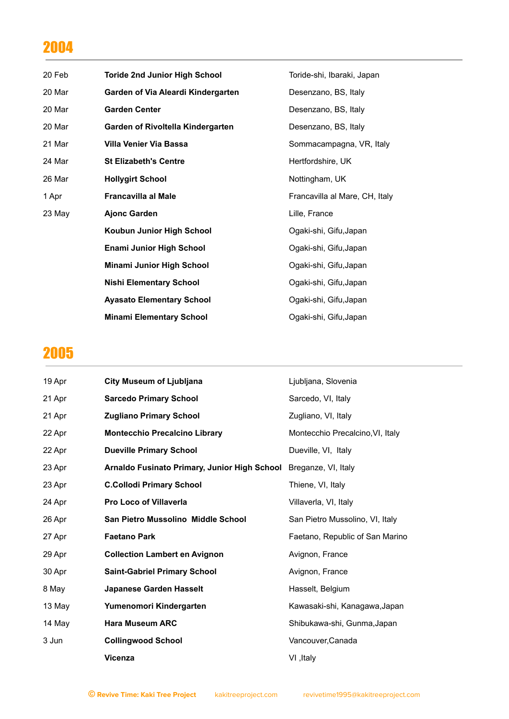| 20 Feb | <b>Toride 2nd Junior High School</b> | Toride-shi, Ibaraki, Japan     |
|--------|--------------------------------------|--------------------------------|
| 20 Mar | Garden of Via Aleardi Kindergarten   | Desenzano, BS, Italy           |
| 20 Mar | <b>Garden Center</b>                 | Desenzano, BS, Italy           |
| 20 Mar | Garden of Rivoltella Kindergarten    | Desenzano, BS, Italy           |
| 21 Mar | Villa Venier Via Bassa               | Sommacampagna, VR, Italy       |
| 24 Mar | <b>St Elizabeth's Centre</b>         | Hertfordshire, UK              |
| 26 Mar | <b>Hollygirt School</b>              | Nottingham, UK                 |
| 1 Apr  | <b>Francavilla al Male</b>           | Francavilla al Mare, CH, Italy |
| 23 May | <b>Ajonc Garden</b>                  | Lille, France                  |
|        | Koubun Junior High School            | Ogaki-shi, Gifu, Japan         |
|        | <b>Enami Junior High School</b>      | Ogaki-shi, Gifu, Japan         |
|        | Minami Junior High School            | Ogaki-shi, Gifu, Japan         |
|        | <b>Nishi Elementary School</b>       | Ogaki-shi, Gifu, Japan         |
|        | <b>Ayasato Elementary School</b>     | Ogaki-shi, Gifu, Japan         |
|        | <b>Minami Elementary School</b>      | Ogaki-shi, Gifu, Japan         |

| 19 Apr | City Museum of Ljubljana                     | Ljubljana, Slovenia              |
|--------|----------------------------------------------|----------------------------------|
| 21 Apr | <b>Sarcedo Primary School</b>                | Sarcedo, VI, Italy               |
| 21 Apr | <b>Zugliano Primary School</b>               | Zugliano, VI, Italy              |
| 22 Apr | <b>Montecchio Precalcino Library</b>         | Montecchio Precalcino, VI, Italy |
| 22 Apr | <b>Dueville Primary School</b>               | Dueville, VI, Italy              |
| 23 Apr | Arnaldo Fusinato Primary, Junior High School | Breganze, VI, Italy              |
| 23 Apr | <b>C.Collodi Primary School</b>              | Thiene, VI, Italy                |
| 24 Apr | Pro Loco of Villaverla                       | Villaverla, VI, Italy            |
| 26 Apr | San Pietro Mussolino Middle School           | San Pietro Mussolino, VI, Italy  |
| 27 Apr | <b>Faetano Park</b>                          | Faetano, Republic of San Marino  |
| 29 Apr | <b>Collection Lambert en Avignon</b>         | Avignon, France                  |
| 30 Apr | <b>Saint-Gabriel Primary School</b>          | Avignon, France                  |
| 8 May  | Japanese Garden Hasselt                      | Hasselt, Belgium                 |
| 13 May | Yumenomori Kindergarten                      | Kawasaki-shi, Kanagawa, Japan    |
| 14 May | <b>Hara Museum ARC</b>                       | Shibukawa-shi, Gunma, Japan      |
| 3 Jun  | <b>Collingwood School</b>                    | Vancouver, Canada                |
|        | <b>Vicenza</b>                               | VI , Italy                       |
|        |                                              |                                  |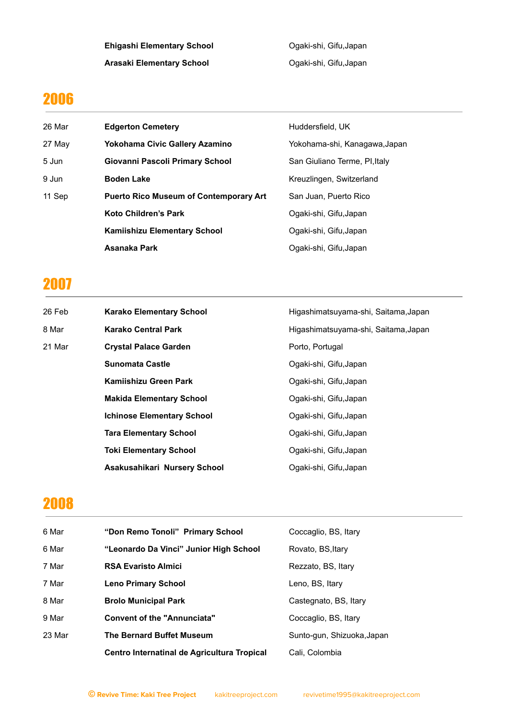**Ehigashi Elementary School** Ogaki-shi, Gifu,Japan **Arasaki Elementary School** Ogaki-shi, Gifu,Japan

### 2006

| 26 Mar | <b>Edgerton Cemetery</b>                      | Huddersfield, UK              |
|--------|-----------------------------------------------|-------------------------------|
| 27 May | Yokohama Civic Gallery Azamino                | Yokohama-shi, Kanagawa,Japan  |
| 5 Jun  | Giovanni Pascoli Primary School               | San Giuliano Terme, PI, Italy |
| 9 Jun  | <b>Boden Lake</b>                             | Kreuzlingen, Switzerland      |
| 11 Sep | <b>Puerto Rico Museum of Contemporary Art</b> | San Juan, Puerto Rico         |
|        | <b>Koto Children's Park</b>                   | Ogaki-shi, Gifu, Japan        |
|        | <b>Kamiishizu Elementary School</b>           | Ogaki-shi, Gifu, Japan        |
|        | Asanaka Park                                  | Ogaki-shi, Gifu, Japan        |

#### 2007

| 26 Feb | <b>Karako Elementary School</b>   | Higashimatsuyama-shi, Saitama, Japan |
|--------|-----------------------------------|--------------------------------------|
| 8 Mar  | <b>Karako Central Park</b>        | Higashimatsuyama-shi, Saitama, Japan |
| 21 Mar | <b>Crystal Palace Garden</b>      | Porto, Portugal                      |
|        | <b>Sunomata Castle</b>            | Ogaki-shi, Gifu, Japan               |
|        | Kamiishizu Green Park             | Ogaki-shi, Gifu, Japan               |
|        | <b>Makida Elementary School</b>   | Ogaki-shi, Gifu, Japan               |
|        | <b>Ichinose Elementary School</b> | Ogaki-shi, Gifu, Japan               |
|        | <b>Tara Elementary School</b>     | Ogaki-shi, Gifu, Japan               |
|        | <b>Toki Elementary School</b>     | Ogaki-shi, Gifu, Japan               |
|        | Asakusahikari Nursery School      | Ogaki-shi, Gifu, Japan               |

| 6 Mar  | "Don Remo Tonoli" Primary School            | Coccaglio, BS, Itary       |
|--------|---------------------------------------------|----------------------------|
| 6 Mar  | "Leonardo Da Vinci" Junior High School      | Rovato, BS. Itary          |
| 7 Mar  | <b>RSA Evaristo Almici</b>                  | Rezzato, BS, Itary         |
| 7 Mar  | <b>Leno Primary School</b>                  | Leno, BS, Itary            |
| 8 Mar  | <b>Brolo Municipal Park</b>                 | Castegnato, BS, Itary      |
| 9 Mar  | <b>Convent of the "Annunciata"</b>          | Coccaglio, BS, Itary       |
| 23 Mar | <b>The Bernard Buffet Museum</b>            | Sunto-gun, Shizuoka, Japan |
|        | Centro Internatinal de Agricultura Tropical | Cali, Colombia             |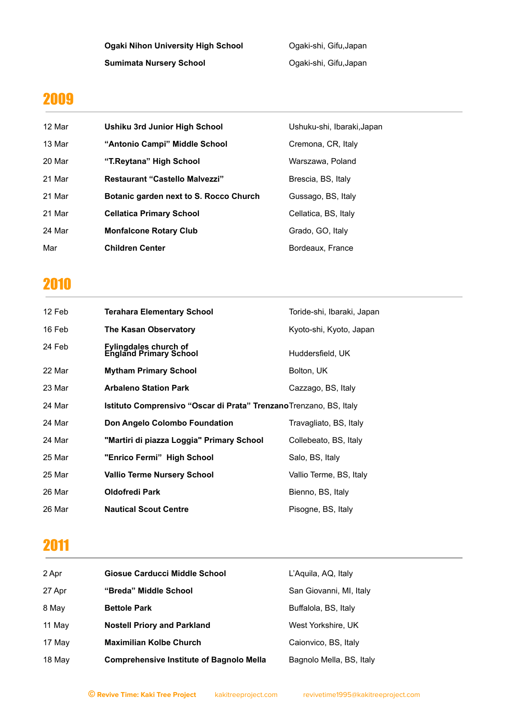**Ogaki Nihon University High School** Ogaki-shi, Gifu,Japan **Sumimata Nursery School Constanting Constanting Constanting Constanting Constanting Constanting Constanting Constanting Constanting Constanting Constanting Constanting Constanting Constanting Constanting Constanting Con** 

### 

| 12 Mar | Ushiku 3rd Junior High School          | Ushuku-shi, Ibaraki, Japan |
|--------|----------------------------------------|----------------------------|
| 13 Mar | "Antonio Campi" Middle School          | Cremona, CR, Italy         |
| 20 Mar | "T.Reytana" High School                | Warszawa, Poland           |
| 21 Mar | <b>Restaurant "Castello Malvezzi"</b>  | Brescia, BS, Italy         |
| 21 Mar | Botanic garden next to S. Rocco Church | Gussago, BS, Italy         |
| 21 Mar | <b>Cellatica Primary School</b>        | Cellatica, BS, Italy       |
| 24 Mar | <b>Monfalcone Rotary Club</b>          | Grado, GO, Italy           |
| Mar    | <b>Children Center</b>                 | Bordeaux, France           |

#### 

| 12 Feb | <b>Terahara Elementary School</b>                                 | Toride-shi, Ibaraki, Japan |
|--------|-------------------------------------------------------------------|----------------------------|
| 16 Feb | <b>The Kasan Observatory</b>                                      | Kyoto-shi, Kyoto, Japan    |
| 24 Feb | Fylingdales church of<br>England Primary School                   | Huddersfield, UK           |
| 22 Mar | <b>Mytham Primary School</b>                                      | Bolton, UK                 |
| 23 Mar | <b>Arbaleno Station Park</b>                                      | Cazzago, BS, Italy         |
| 24 Mar | Istituto Comprensivo "Oscar di Prata" TrenzanoTrenzano, BS, Italy |                            |
| 24 Mar | Don Angelo Colombo Foundation                                     | Travagliato, BS, Italy     |
| 24 Mar | "Martiri di piazza Loggia" Primary School                         | Collebeato, BS, Italy      |
| 25 Mar | "Enrico Fermi" High School                                        | Salo, BS, Italy            |
| 25 Mar | <b>Vallio Terme Nursery School</b>                                | Vallio Terme, BS, Italy    |
| 26 Mar | <b>Oldofredi Park</b>                                             | Bienno, BS, Italy          |
| 26 Mar | <b>Nautical Scout Centre</b>                                      | Pisogne, BS, Italy         |

| 2 Apr  | Giosue Carducci Middle School                   | L'Aquila, AQ, Italy      |
|--------|-------------------------------------------------|--------------------------|
| 27 Apr | "Breda" Middle School                           | San Giovanni, MI, Italy  |
| 8 May  | <b>Bettole Park</b>                             | Buffalola, BS, Italy     |
| 11 May | <b>Nostell Priory and Parkland</b>              | West Yorkshire, UK       |
| 17 May | <b>Maximilian Kolbe Church</b>                  | Caionvico, BS, Italy     |
| 18 May | <b>Comprehensive Institute of Bagnolo Mella</b> | Bagnolo Mella, BS, Italy |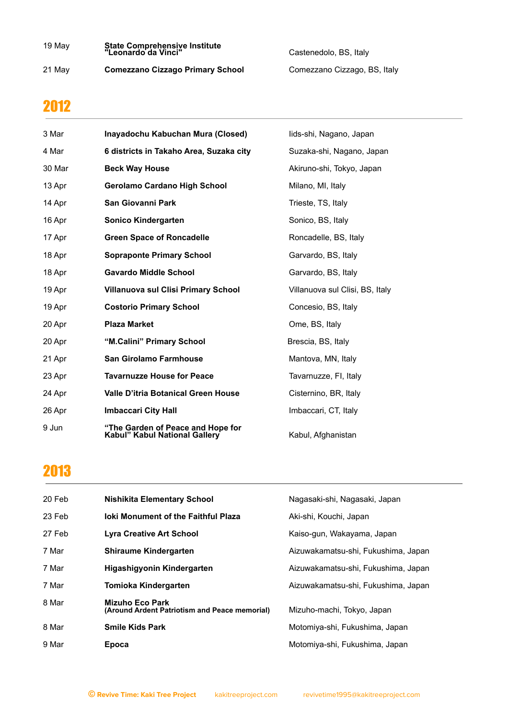| 19 May | State Comprehensive Institute<br>"Leonardo da Vinci" | Castenedolo, BS, Italy       |
|--------|------------------------------------------------------|------------------------------|
| 21 May | <b>Comezzano Cizzago Primary School</b>              | Comezzano Cizzago, BS, Italy |

#### 

| 3 Mar  | Inayadochu Kabuchan Mura (Closed)                                  | lids-shi, Nagano, Japan         |
|--------|--------------------------------------------------------------------|---------------------------------|
| 4 Mar  | 6 districts in Takaho Area, Suzaka city                            | Suzaka-shi, Nagano, Japan       |
| 30 Mar | <b>Beck Way House</b>                                              | Akiruno-shi, Tokyo, Japan       |
| 13 Apr | <b>Gerolamo Cardano High School</b>                                | Milano, MI, Italy               |
| 14 Apr | San Giovanni Park                                                  | Trieste, TS, Italy              |
| 16 Apr | <b>Sonico Kindergarten</b>                                         | Sonico, BS, Italy               |
| 17 Apr | <b>Green Space of Roncadelle</b>                                   | Roncadelle, BS, Italy           |
| 18 Apr | <b>Sopraponte Primary School</b>                                   | Garvardo, BS, Italy             |
| 18 Apr | <b>Gavardo Middle School</b>                                       | Garvardo, BS, Italy             |
| 19 Apr | Villanuova sul Clisi Primary School                                | Villanuova sul Clisi, BS, Italy |
| 19 Apr | <b>Costorio Primary School</b>                                     | Concesio, BS, Italy             |
| 20 Apr | <b>Plaza Market</b>                                                | Ome, BS, Italy                  |
| 20 Apr | "M.Calini" Primary School                                          | Brescia, BS, Italy              |
| 21 Apr | <b>San Girolamo Farmhouse</b>                                      | Mantova, MN, Italy              |
| 23 Apr | <b>Tavarnuzze House for Peace</b>                                  | Tavarnuzze, FI, Italy           |
| 24 Apr | <b>Valle D'itria Botanical Green House</b>                         | Cisternino, BR, Italy           |
| 26 Apr | <b>Imbaccari City Hall</b>                                         | Imbaccari, CT, Italy            |
| 9 Jun  | "The Garden of Peace and Hope for<br>Kabul" Kabul National Gallery | Kabul, Afghanistan              |

| 20 Feb | Nishikita Elementary School                                      | Nagasaki-shi, Nagasaki, Japan       |
|--------|------------------------------------------------------------------|-------------------------------------|
| 23 Feb | <b>Joki Monument of the Faithful Plaza</b>                       | Aki-shi, Kouchi, Japan              |
| 27 Feb | <b>Lyra Creative Art School</b>                                  | Kaiso-gun, Wakayama, Japan          |
| 7 Mar  | <b>Shiraume Kindergarten</b>                                     | Aizuwakamatsu-shi, Fukushima, Japan |
| 7 Mar  | Higashigyonin Kindergarten                                       | Aizuwakamatsu-shi, Fukushima, Japan |
| 7 Mar  | Tomioka Kindergarten                                             | Aizuwakamatsu-shi, Fukushima, Japan |
| 8 Mar  | Mizuho Eco Park<br>(Around Ardent Patriotism and Peace memorial) | Mizuho-machi, Tokyo, Japan          |
| 8 Mar  | <b>Smile Kids Park</b>                                           | Motomiya-shi, Fukushima, Japan      |
| 9 Mar  | Epoca                                                            | Motomiya-shi, Fukushima, Japan      |
|        |                                                                  |                                     |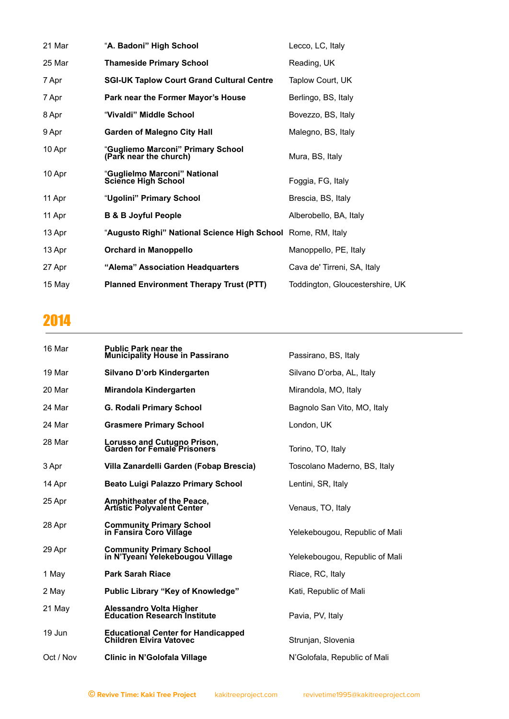| 21 Mar | "A. Badoni" High School                                      | Lecco, LC, Italy                |
|--------|--------------------------------------------------------------|---------------------------------|
| 25 Mar | <b>Thameside Primary School</b>                              | Reading, UK                     |
| 7 Apr  | <b>SGI-UK Taplow Court Grand Cultural Centre</b>             | Taplow Court, UK                |
| 7 Apr  | Park near the Former Mayor's House                           | Berlingo, BS, Italy             |
| 8 Apr  | "Vivaldi" Middle School                                      | Bovezzo, BS, Italy              |
| 9 Apr  | <b>Garden of Malegno City Hall</b>                           | Malegno, BS, Italy              |
| 10 Apr | "Gugliemo Marconi" Primary School<br>(Park near the church)  | Mura, BS, Italy                 |
| 10 Apr | "Guglielmo Marconi" National<br><b>Science High School</b>   | Foggia, FG, Italy               |
| 11 Apr | "Ugolini" Primary School                                     | Brescia, BS, Italy              |
| 11 Apr | <b>B &amp; B Joyful People</b>                               | Alberobello, BA, Italy          |
| 13 Apr | "Augusto Righi" National Science High School Rome, RM, Italy |                                 |
| 13 Apr | <b>Orchard in Manoppello</b>                                 | Manoppello, PE, Italy           |
| 27 Apr | "Alema" Association Headquarters                             | Cava de' Tirreni, SA, Italy     |
| 15 May | <b>Planned Environment Therapy Trust (PTT)</b>               | Toddington, Gloucestershire, UK |
|        |                                                              |                                 |

| 16 Mar    | <b>Public Park near the</b><br><b>Municipality House in Passirano</b> | Passirano, BS, Italy           |
|-----------|-----------------------------------------------------------------------|--------------------------------|
| 19 Mar    | Silvano D'orb Kindergarten                                            | Silvano D'orba, AL, Italy      |
| 20 Mar    | Mirandola Kindergarten                                                | Mirandola, MO, Italy           |
| 24 Mar    | <b>G. Rodali Primary School</b>                                       | Bagnolo San Vito, MO, Italy    |
| 24 Mar    | <b>Grasmere Primary School</b>                                        | London, UK                     |
| 28 Mar    | Lorusso and Cutugno Prison,<br>Garden for Female Prisoners            | Torino, TO, Italy              |
| 3 Apr     | Villa Zanardelli Garden (Fobap Brescia)                               | Toscolano Maderno, BS, Italy   |
| 14 Apr    | <b>Beato Luigi Palazzo Primary School</b>                             | Lentini, SR, Italy             |
| 25 Apr    | Amphitheater of the Peace,<br><b>Artistic Polyvalent Center</b>       | Venaus, TO, Italy              |
| 28 Apr    | <b>Community Primary School</b><br>in Fansira Coro Village            | Yelekebougou, Republic of Mali |
| 29 Apr    | <b>Community Primary School</b><br>in N'Tyeani Yelekebougou Village   | Yelekebougou, Republic of Mali |
| 1 May     | <b>Park Sarah Riace</b>                                               | Riace, RC, Italy               |
| 2 May     | Public Library "Key of Knowledge"                                     | Kati, Republic of Mali         |
| 21 May    | Alessandro Volta Higher<br>Education Research Institute               | Pavia, PV, Italy               |
| 19 Jun    | <b>Educational Center for Handicapped<br/>Children Elvira Vatovec</b> | Strunjan, Slovenia             |
| Oct / Nov | Clinic in N'Golofala Village                                          | N'Golofala, Republic of Mali   |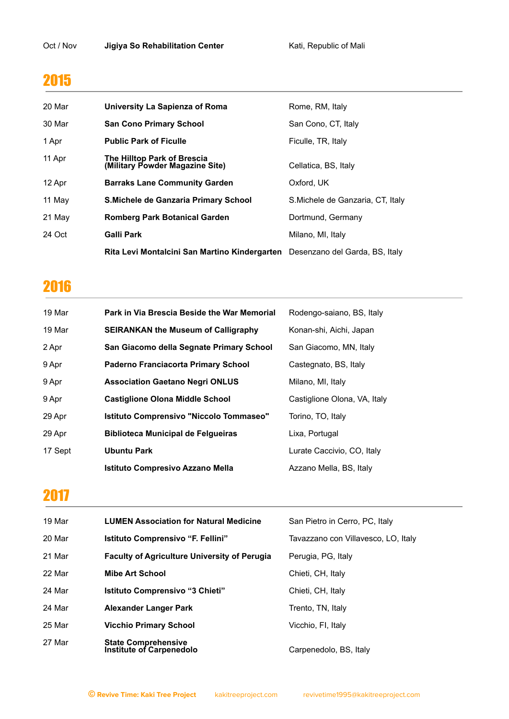| 20 Mar | University La Sapienza of Roma                                               | Rome, RM, Italy                   |
|--------|------------------------------------------------------------------------------|-----------------------------------|
| 30 Mar | <b>San Cono Primary School</b>                                               | San Cono, CT, Italy               |
| 1 Apr  | <b>Public Park of Ficulle</b>                                                | Ficulle, TR, Italy                |
| 11 Apr | The Hilltop Park of Brescia<br>(Military Powder Magazine Site)               | Cellatica, BS, Italy              |
| 12 Apr | <b>Barraks Lane Community Garden</b>                                         | Oxford, UK                        |
| 11 May | <b>S.Michele de Ganzaria Primary School</b>                                  | S. Michele de Ganzaria, CT, Italy |
| 21 May | <b>Romberg Park Botanical Garden</b>                                         | Dortmund, Germany                 |
| 24 Oct | <b>Galli Park</b>                                                            | Milano, MI, Italy                 |
|        | Rita Levi Montalcini San Martino Kindergarten Desenzano del Garda, BS, Italy |                                   |

#### 

| 19 Mar  | Park in Via Brescia Beside the War Memorial    | Rodengo-saiano, BS, Italy    |
|---------|------------------------------------------------|------------------------------|
| 19 Mar  | <b>SEIRANKAN the Museum of Calligraphy</b>     | Konan-shi, Aichi, Japan      |
| 2 Apr   | San Giacomo della Segnate Primary School       | San Giacomo, MN, Italy       |
| 9 Apr   | Paderno Franciacorta Primary School            | Castegnato, BS, Italy        |
| 9 Apr   | <b>Association Gaetano Negri ONLUS</b>         | Milano, MI, Italy            |
| 9 Apr   | <b>Castiglione Olona Middle School</b>         | Castiglione Olona, VA, Italy |
| 29 Apr  | <b>Istituto Comprensivo "Niccolo Tommaseo"</b> | Torino, TO, Italy            |
| 29 Apr  | <b>Biblioteca Municipal de Felgueiras</b>      | Lixa, Portugal               |
| 17 Sept | <b>Ubuntu Park</b>                             | Lurate Caccivio, CO, Italy   |
|         | <b>Istituto Compresivo Azzano Mella</b>        | Azzano Mella, BS, Italy      |

| 19 Mar | <b>LUMEN Association for Natural Medicine</b>                 | San Pietro in Cerro, PC, Italy      |
|--------|---------------------------------------------------------------|-------------------------------------|
| 20 Mar | <b>Istituto Comprensivo "F. Fellini"</b>                      | Tavazzano con Villavesco, LO, Italy |
| 21 Mar | <b>Faculty of Agriculture University of Perugia</b>           | Perugia, PG, Italy                  |
| 22 Mar | Mibe Art School                                               | Chieti, CH, Italy                   |
| 24 Mar | <b>Istituto Comprensivo "3 Chieti"</b>                        | Chieti, CH, Italy                   |
| 24 Mar | Alexander Langer Park                                         | Trento, TN, Italy                   |
| 25 Mar | <b>Vicchio Primary School</b>                                 | Vicchio, Fl, Italy                  |
| 27 Mar | <b>State Comprehensive</b><br><b>Institute of Carpenedolo</b> | Carpenedolo, BS, Italy              |